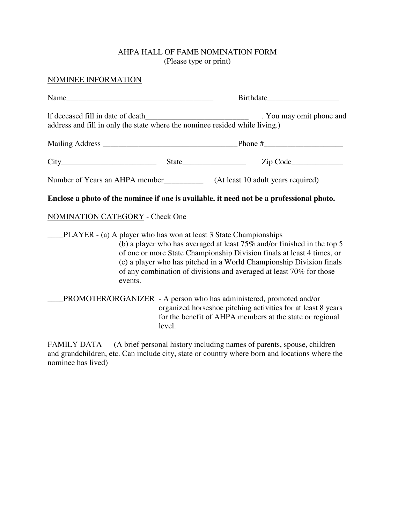## AHPA HALL OF FAME NOMINATION FORM (Please type or print)

## NOMINEE INFORMATION

| Name                                                                        |                                                                                                                                                                                                                                                                                                                                                                         |
|-----------------------------------------------------------------------------|-------------------------------------------------------------------------------------------------------------------------------------------------------------------------------------------------------------------------------------------------------------------------------------------------------------------------------------------------------------------------|
| address and fill in only the state where the nominee resided while living.) | . You may omit phone and                                                                                                                                                                                                                                                                                                                                                |
|                                                                             |                                                                                                                                                                                                                                                                                                                                                                         |
|                                                                             | $City$ $City$ $Size$ $State$ $Zip Code$                                                                                                                                                                                                                                                                                                                                 |
|                                                                             |                                                                                                                                                                                                                                                                                                                                                                         |
|                                                                             | Enclose a photo of the nominee if one is available, it need not be a professional photo.                                                                                                                                                                                                                                                                                |
| NOMINATION CATEGORY - Check One                                             |                                                                                                                                                                                                                                                                                                                                                                         |
| events.                                                                     | PLAYER - (a) A player who has won at least 3 State Championships<br>(b) a player who has averaged at least $75\%$ and/or finished in the top 5<br>of one or more State Championship Division finals at least 4 times, or<br>(c) a player who has pitched in a World Championship Division finals<br>of any combination of divisions and averaged at least 70% for those |
|                                                                             | PROMOTER/ORGANIZER - A person who has administered, promoted and/or<br>organized horseshoe pitching activities for at least 8 years                                                                                                                                                                                                                                     |

 organized horseshoe pitching activities for at least 8 years for the benefit of AHPA members at the state or regional level.

FAMILY DATA (A brief personal history including names of parents, spouse, children and grandchildren, etc. Can include city, state or country where born and locations where the nominee has lived)